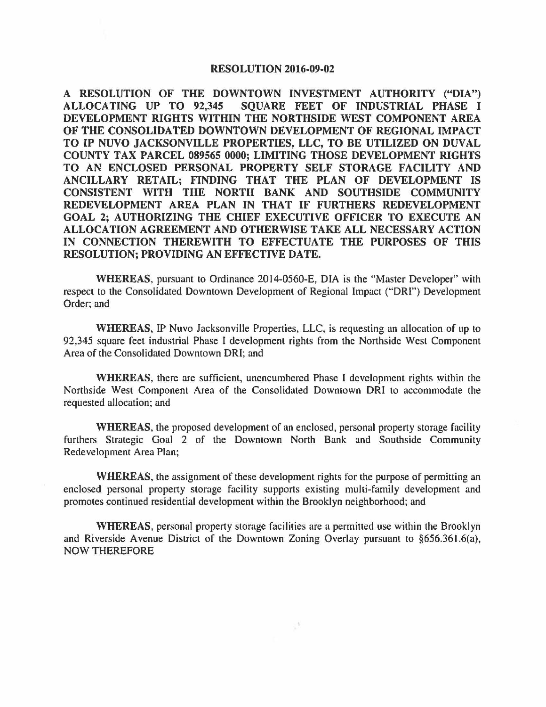## **RESOLUTION 2016-09-02**

**A RESOLUTION OF THE DOWNTOWN INVESTMENT AUTHORITY ("DIA") ALLOCATING UP TO 92,345 SQUARE FEET OF INDUSTRIAL PHASE** I **DEVELOPMENT RIGHTS WITHIN THE NORTHSIDE WEST COMPONENT AREA OF THE CONSOLIDATED DOWNTOWN DEVELOPMENT OF REGIONAL IMPACT TO IP NUVO JACKSONVILLE PROPERTIES, LLC, TO BE UTILIZED ON DUVAL COUNTY TAX PARCEL 089565 0000; LIMITING THOSE DEVELOPMENT RIGHTS TO AN ENCLOSED PERSONAL PROPERTY SELF STORAGE FACILITY AND ANCILLARY RETAIL; FINDING THAT THE PLAN OF DEVELOPMENT IS CONSISTENT WITH THE NORTH BANK AND SOUTHSIDE COMMUNITY REDEVELOPMENT AREA PLAN IN THAT IF FURTHERS REDEVELOPMENT GOAL 2; AUTHORIZING THE CHIEF EXECUTIVE OFFICER TO EXECUTE AN ALLOCATION AGREEMENT AND OTHERWISE TAKE ALL NECESSARY ACTION IN CONNECTION THEREWITH TO EFFECTUATE THE PURPOSES OF THIS RESOLUTION; PROVIDING AN EFFECTIVE DATE.** 

**WHEREAS,** pursuant to Ordinance 2014-0560-E, DIA is the "Master Developer" with respect to the Consolidated Downtown Development of Regional Impact ("ORI") Development Order; and

**WHEREAS,** IP Nuvo Jacksonville Properties, LLC, is requesting an allocation of up to 92,345 square feet industrial Phase I development rights from the Northside West Component Area of the Consolidated Downtown ORI; and

**WHEREAS,** there are sufficient, unencumbered Phase I development rights within the Northside West Component Area of the Consolidated Downtown ORI to accommodate the requested allocation; and

**WHEREAS,** the proposed development of an enclosed, personal property storage facility furthers Strategic Goal 2 of the Downtown North Bank and Southside Community Redevelopment Area Plan;

**WHEREAS,** the assignment of these development rights for the purpose of permitting an enclosed personal property storage facility supports existing multi-family development and promotes continued residential development within the Brooklyn neighborhood; and

**WHEREAS,** personal property storage facilities are a permitted use within the Brooklyn and Riverside Avenue District of the Downtown Zoning Overlay pursuant to §656.36 l.6(a), NOW THEREFORE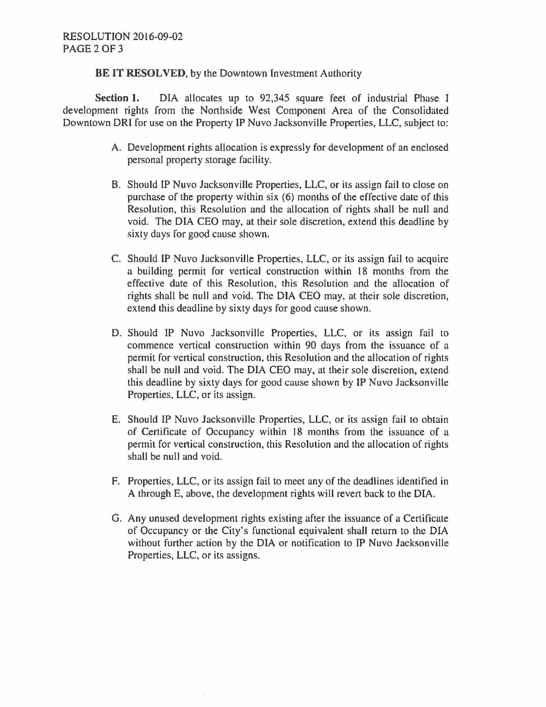**BE IT RESOLVED,** by the Downtown Investment Authority

**Section 1.** DIA allocates up to 92,345 square feet of industrial Phase I development rights from the Northside West Component Area of the Consolidated Downtown ORI for use on the Property IP Nuvo Jacksonville Properties, LLC, subject to:

- A. Development rights allocation is expressly for development of an enclosed personal property storage facility.
- B. Should IP Nuvo Jacksonville Properties, LLC, or its assign fail to close on purchase of the property within six (6) months of the effective date of this Resolution, this Resolution and the allocation of rights shall be null and void. The DIA CEO may, at their sole discretion, extend this deadline by sixty days for good cause shown.
- C. Should IP Nuvo Jacksonville Properties, LLC, or its assign fail to acquire a building permit for vertical construction within 18 months from the effective date of this Resolution, this Resolution and the allocation of rights shall be null and void. The DIA CEO may, at their sole discretion, extend this deadline by sixty days for good cause shown.
- D. Should IP Nuvo Jacksonville Properties, LLC, or its assign fail to commence vertical construction within 90 days from the issuance of a permit for vertical construction, this Resolution and the allocation of rights shall be null and void. The DIA CEO may, at their sole discretion, extend this deadline by sixty days for good cause shown by IP Nuvo Jacksonville Properties, LLC, or its assign.
- E. Should IP Nuvo Jacksonville Properties, LLC, or its assign fail to obtain of Certificate of Occupancy within 18 months from the issuance of a permit for vertical construction, this Resolution and the allocation of rights shall be null and void.
- F. Properties, LLC, or its assign fail to meet any of the deadlines identified in A through E, above, the development rights will revert back to the DIA.
- G. Any unused development rights existing after the issuance of a Certificate of Occupancy or the City's functional equivalent shall return to the DIA without further action by the DIA or notification to IP Nuvo Jacksonville Properties, LLC, or its assigns.